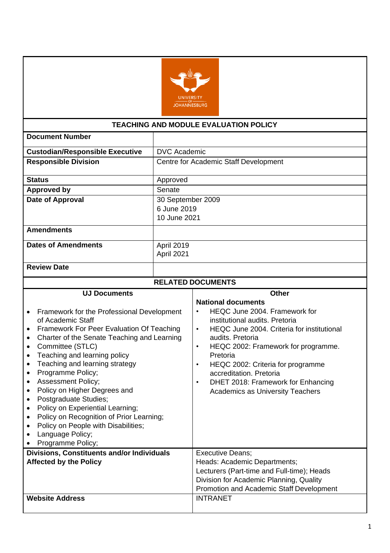

| <b>TEACHING AND MODULE EVALUATION POLICY</b>                                                                                                                                                                                                                                                                                                                                                                                                                                                                                                                                                                                                        |                                                  |                                                                                                                                                                                                                                                                                                                                                                                                                                                     |  |  |  |
|-----------------------------------------------------------------------------------------------------------------------------------------------------------------------------------------------------------------------------------------------------------------------------------------------------------------------------------------------------------------------------------------------------------------------------------------------------------------------------------------------------------------------------------------------------------------------------------------------------------------------------------------------------|--------------------------------------------------|-----------------------------------------------------------------------------------------------------------------------------------------------------------------------------------------------------------------------------------------------------------------------------------------------------------------------------------------------------------------------------------------------------------------------------------------------------|--|--|--|
| <b>Document Number</b>                                                                                                                                                                                                                                                                                                                                                                                                                                                                                                                                                                                                                              |                                                  |                                                                                                                                                                                                                                                                                                                                                                                                                                                     |  |  |  |
| <b>Custodian/Responsible Executive</b>                                                                                                                                                                                                                                                                                                                                                                                                                                                                                                                                                                                                              | <b>DVC Academic</b>                              |                                                                                                                                                                                                                                                                                                                                                                                                                                                     |  |  |  |
| <b>Responsible Division</b>                                                                                                                                                                                                                                                                                                                                                                                                                                                                                                                                                                                                                         |                                                  | Centre for Academic Staff Development                                                                                                                                                                                                                                                                                                                                                                                                               |  |  |  |
| <b>Status</b>                                                                                                                                                                                                                                                                                                                                                                                                                                                                                                                                                                                                                                       | Approved                                         |                                                                                                                                                                                                                                                                                                                                                                                                                                                     |  |  |  |
| <b>Approved by</b>                                                                                                                                                                                                                                                                                                                                                                                                                                                                                                                                                                                                                                  | Senate                                           |                                                                                                                                                                                                                                                                                                                                                                                                                                                     |  |  |  |
| Date of Approval                                                                                                                                                                                                                                                                                                                                                                                                                                                                                                                                                                                                                                    | 30 September 2009<br>6 June 2019<br>10 June 2021 |                                                                                                                                                                                                                                                                                                                                                                                                                                                     |  |  |  |
| <b>Amendments</b>                                                                                                                                                                                                                                                                                                                                                                                                                                                                                                                                                                                                                                   |                                                  |                                                                                                                                                                                                                                                                                                                                                                                                                                                     |  |  |  |
| <b>Dates of Amendments</b>                                                                                                                                                                                                                                                                                                                                                                                                                                                                                                                                                                                                                          | April 2019<br>April 2021                         |                                                                                                                                                                                                                                                                                                                                                                                                                                                     |  |  |  |
| <b>Review Date</b>                                                                                                                                                                                                                                                                                                                                                                                                                                                                                                                                                                                                                                  |                                                  |                                                                                                                                                                                                                                                                                                                                                                                                                                                     |  |  |  |
|                                                                                                                                                                                                                                                                                                                                                                                                                                                                                                                                                                                                                                                     | <b>RELATED DOCUMENTS</b>                         |                                                                                                                                                                                                                                                                                                                                                                                                                                                     |  |  |  |
| <b>UJ Documents</b><br>Framework for the Professional Development<br>of Academic Staff<br>Framework For Peer Evaluation Of Teaching<br>٠<br>Charter of the Senate Teaching and Learning<br>$\bullet$<br>Committee (STLC)<br>$\bullet$<br>Teaching and learning policy<br>$\bullet$<br>Teaching and learning strategy<br>$\bullet$<br>Programme Policy;<br>$\bullet$<br><b>Assessment Policy;</b><br>$\bullet$<br>Policy on Higher Degrees and<br>$\bullet$<br>Postgraduate Studies;<br>Policy on Experiential Learning;<br>Policy on Recognition of Prior Learning;<br>Policy on People with Disabilities;<br>Language Policy;<br>Programme Policy; |                                                  | <b>Other</b><br><b>National documents</b><br>HEQC June 2004. Framework for<br>$\bullet$<br>institutional audits. Pretoria<br>HEQC June 2004. Criteria for institutional<br>$\bullet$<br>audits. Pretoria<br>HEQC 2002: Framework for programme.<br>$\bullet$<br>Pretoria<br>HEQC 2002: Criteria for programme<br>$\bullet$<br>accreditation. Pretoria<br>DHET 2018: Framework for Enhancing<br>$\bullet$<br><b>Academics as University Teachers</b> |  |  |  |
| <b>Divisions, Constituents and/or Individuals</b><br><b>Affected by the Policy</b>                                                                                                                                                                                                                                                                                                                                                                                                                                                                                                                                                                  |                                                  | <b>Executive Deans;</b><br>Heads: Academic Departments;<br>Lecturers (Part-time and Full-time); Heads<br>Division for Academic Planning, Quality<br>Promotion and Academic Staff Development                                                                                                                                                                                                                                                        |  |  |  |
| <b>Website Address</b>                                                                                                                                                                                                                                                                                                                                                                                                                                                                                                                                                                                                                              |                                                  | <b>INTRANET</b>                                                                                                                                                                                                                                                                                                                                                                                                                                     |  |  |  |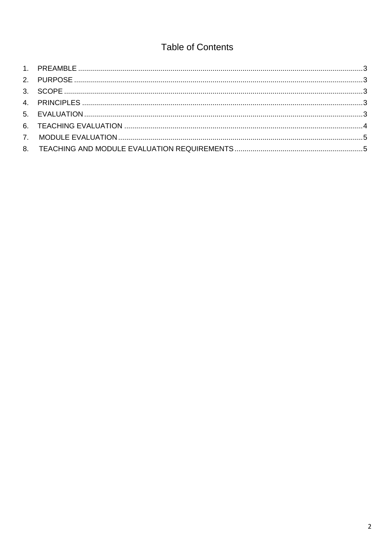# **Table of Contents**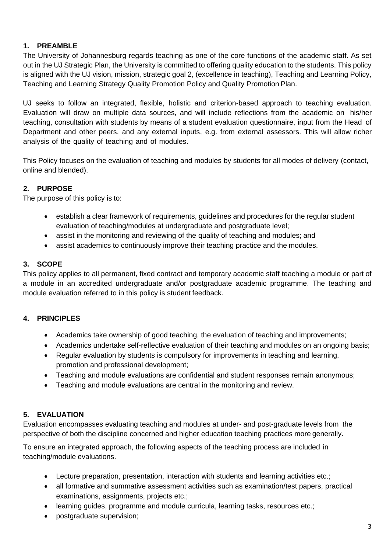### <span id="page-2-0"></span>**1. PREAMBLE**

The University of Johannesburg regards teaching as one of the core functions of the academic staff. As set out in the UJ Strategic Plan, the University is committed to offering quality education to the students. This policy is aligned with the UJ vision, mission, strategic goal 2, (excellence in teaching), Teaching and Learning Policy, Teaching and Learning Strategy Quality Promotion Policy and Quality Promotion Plan.

UJ seeks to follow an integrated, flexible, holistic and criterion-based approach to teaching evaluation. Evaluation will draw on multiple data sources, and will include reflections from the academic on his/her teaching, consultation with students by means of a student evaluation questionnaire, input from the Head of Department and other peers, and any external inputs, e.g. from external assessors. This will allow richer analysis of the quality of teaching and of modules.

This Policy focuses on the evaluation of teaching and modules by students for all modes of delivery (contact, online and blended).

### <span id="page-2-1"></span>**2. PURPOSE**

The purpose of this policy is to:

- establish a clear framework of requirements, guidelines and procedures for the regular student evaluation of teaching/modules at undergraduate and postgraduate level;
- assist in the monitoring and reviewing of the quality of teaching and modules; and
- assist academics to continuously improve their teaching practice and the modules.

#### <span id="page-2-2"></span>**3. SCOPE**

This policy applies to all permanent, fixed contract and temporary academic staff teaching a module or part of a module in an accredited undergraduate and/or postgraduate academic programme. The teaching and module evaluation referred to in this policy is student feedback.

### <span id="page-2-3"></span>**4. PRINCIPLES**

- Academics take ownership of good teaching, the evaluation of teaching and improvements;
- Academics undertake self-reflective evaluation of their teaching and modules on an ongoing basis;
- Regular evaluation by students is compulsory for improvements in teaching and learning, promotion and professional development;
- Teaching and module evaluations are confidential and student responses remain anonymous;
- Teaching and module evaluations are central in the monitoring and review.

### <span id="page-2-4"></span>**5. EVALUATION**

Evaluation encompasses evaluating teaching and modules at under- and post-graduate levels from the perspective of both the discipline concerned and higher education teaching practices more generally.

To ensure an integrated approach, the following aspects of the teaching process are included in teaching/module evaluations.

- Lecture preparation, presentation, interaction with students and learning activities etc.;
- all formative and summative assessment activities such as examination/test papers, practical examinations, assignments, projects etc.;
- learning guides, programme and module curricula, learning tasks, resources etc.;
- postgraduate supervision;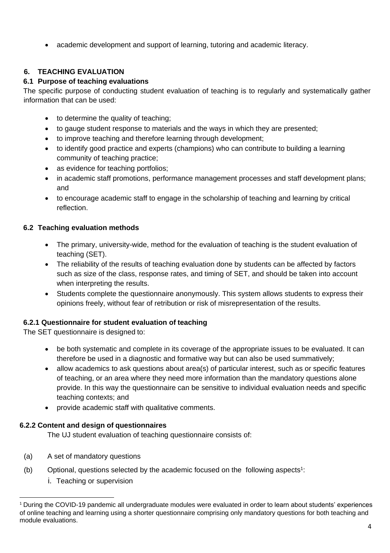• academic development and support of learning, tutoring and academic literacy.

## <span id="page-3-0"></span>**6. TEACHING EVALUATION**

### **6.1 Purpose of teaching evaluations**

The specific purpose of conducting student evaluation of teaching is to regularly and systematically gather information that can be used:

- to determine the quality of teaching;
- to gauge student response to materials and the ways in which they are presented;
- to improve teaching and therefore learning through development;
- to identify good practice and experts (champions) who can contribute to building a learning community of teaching practice;
- as evidence for teaching portfolios;
- in academic staff promotions, performance management processes and staff development plans; and
- to encourage academic staff to engage in the scholarship of teaching and learning by critical reflection.

### **6.2 Teaching evaluation methods**

- The primary, university-wide, method for the evaluation of teaching is the student evaluation of teaching (SET).
- The reliability of the results of teaching evaluation done by students can be affected by factors such as size of the class, response rates, and timing of SET, and should be taken into account when interpreting the results.
- Students complete the questionnaire anonymously. This system allows students to express their opinions freely, without fear of retribution or risk of misrepresentation of the results.

# **6.2.1 Questionnaire for student evaluation of teaching**

The SET questionnaire is designed to:

- be both systematic and complete in its coverage of the appropriate issues to be evaluated. It can therefore be used in a diagnostic and formative way but can also be used summatively;
- allow academics to ask questions about area(s) of particular interest, such as or specific features of teaching, or an area where they need more information than the mandatory questions alone provide. In this way the questionnaire can be sensitive to individual evaluation needs and specific teaching contexts; and
- provide academic staff with qualitative comments.

# **6.2.2 Content and design of questionnaires**

The UJ student evaluation of teaching questionnaire consists of:

- (a) A set of mandatory questions
- (b) Optional, questions selected by the academic focused on the following aspects<sup>1</sup>:
	- i. Teaching or supervision

<sup>1</sup> During the COVID-19 pandemic all undergraduate modules were evaluated in order to learn about students' experiences of online teaching and learning using a shorter questionnaire comprising only mandatory questions for both teaching and module evaluations.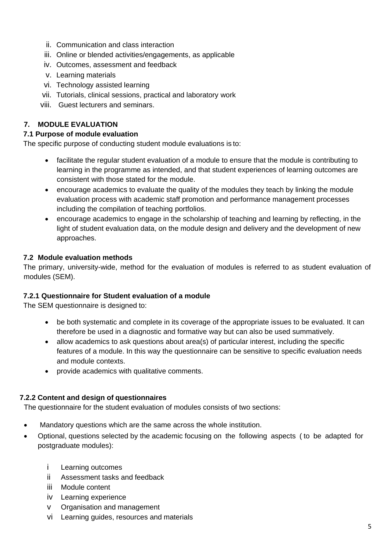- ii. Communication and class interaction
- iii. Online or blended activities/engagements, as applicable
- iv. Outcomes, assessment and feedback
- v. Learning materials
- vi. Technology assisted learning
- vii. Tutorials, clinical sessions, practical and laboratory work
- viii. Guest lecturers and seminars.

#### <span id="page-4-0"></span>**7. MODULE EVALUATION**

#### **7.1 Purpose of module evaluation**

The specific purpose of conducting student module evaluations is to:

- facilitate the regular student evaluation of a module to ensure that the module is contributing to learning in the programme as intended, and that student experiences of learning outcomes are consistent with those stated for the module.
- encourage academics to evaluate the quality of the modules they teach by linking the module evaluation process with academic staff promotion and performance management processes including the compilation of teaching portfolios.
- encourage academics to engage in the scholarship of teaching and learning by reflecting, in the light of student evaluation data, on the module design and delivery and the development of new approaches.

#### **7.2 Module evaluation methods**

The primary, university-wide, method for the evaluation of modules is referred to as student evaluation of modules (SEM).

#### **7.2.1 Questionnaire for Student evaluation of a module**

The SEM questionnaire is designed to:

- be both systematic and complete in its coverage of the appropriate issues to be evaluated. It can therefore be used in a diagnostic and formative way but can also be used summatively.
- allow academics to ask questions about area(s) of particular interest, including the specific features of a module. In this way the questionnaire can be sensitive to specific evaluation needs and module contexts.
- provide academics with qualitative comments.

#### **7.2.2 Content and design of questionnaires**

The questionnaire for the student evaluation of modules consists of two sections:

- Mandatory questions which are the same across the whole institution.
- Optional, questions selected by the academic focusing on the following aspects ( to be adapted for postgraduate modules):
	- i Learning outcomes
	- ii Assessment tasks and feedback
	- iii Module content
	- iv Learning experience
	- v Organisation and management
	- vi Learning guides, resources and materials